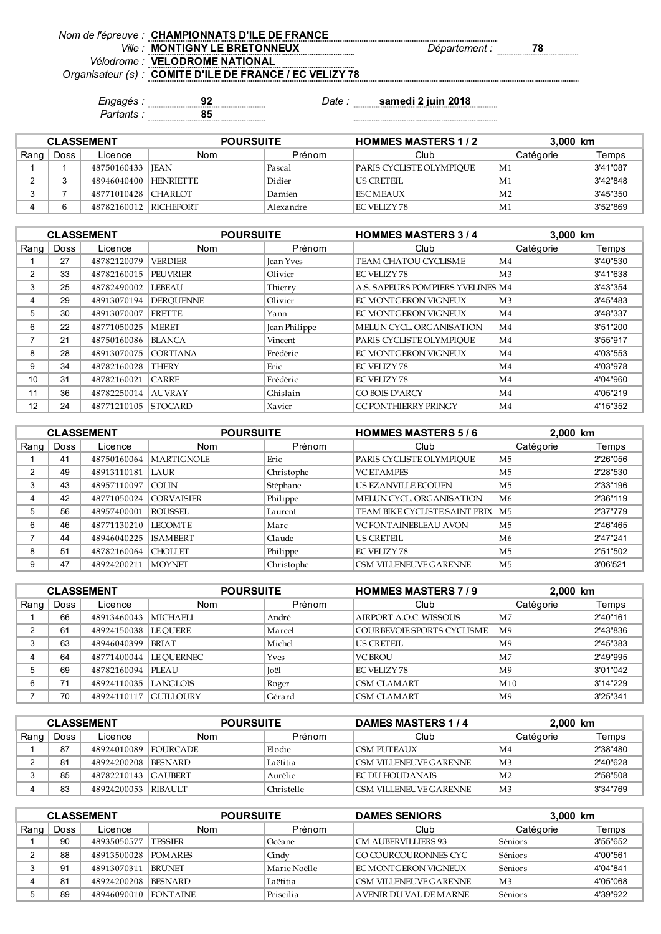| Nom de l'épreuve : CHAMPIONNATS D'ILE DE FRANCE         |                            |
|---------------------------------------------------------|----------------------------|
| Ville: MONTIGNY LE BRETONNEUX                           | 78<br><i>Département :</i> |
| <i>Vélodrome : VELODROME NATIONAL</i>                   |                            |
| Organisateur (s): COMITE D'ILE DE FRANCE / EC VELIZY 78 |                            |

*Partants :* **85**

*Engagés :* **92** *Date :* **samedi 2 juin 2018**

| <b>CLASSEMENT</b> |      |                       | <b>POURSUITE</b> |           | <b>HOMMES MASTERS 1/2</b> | 3.000 km       |          |
|-------------------|------|-----------------------|------------------|-----------|---------------------------|----------------|----------|
| Rang              | Doss | Licence               | Nom              | Prénom    | Club                      | Catégorie      | Temps    |
|                   |      | 48750160433  JEAN     |                  | Pascal    | PARIS CYCLISTE OLYMPIOUE  | M1             | 3'41"087 |
|                   |      | 48946040400 HENRIETTE |                  | Didier    | US CRETEIL                | M1             | 3'42"848 |
|                   |      | 48771010428 CHARLOT   |                  | Damien    | <b>FSC MEAUX</b>          | M <sub>2</sub> | 3'45"350 |
|                   |      | 48782160012 RICHEFORT |                  | Alexandre | EC VELIZY 78              | M1             | 3'52"869 |

|                |             | <b>CLASSEMENT</b>   | <b>POURSUITE</b> |               | <b>HOMMES MASTERS 3/4</b>         | 3.000 km       |          |
|----------------|-------------|---------------------|------------------|---------------|-----------------------------------|----------------|----------|
| Rang           | <b>Doss</b> | Licence             | <b>Nom</b>       | Prénom        | Club                              | Catégorie      | Temps    |
|                | 27          | 48782120079         | <b>VERDIER</b>   | Jean Yves     | TEAM CHATOU CYCLISME              | M4             | 3'40"530 |
| $\overline{2}$ | 33          | 48782160015         | <b>PEUVRIER</b>  | Olivier       | <b>EC VELIZY 78</b>               | M <sub>3</sub> | 3'41"638 |
| 3              | 25          | 48782490002         | LEBEAU           | Thierry       | A.S. SAPEURS POMPIERS YVELINES M4 |                | 3'43"354 |
| 4              | 29          | 48913070194         | <b>DEROUENNE</b> | Olivier       | EC MONTGERON VIGNEUX              | M <sub>3</sub> | 3'45"483 |
| 5              | 30          | 48913070007         | <b>FRETTE</b>    | Yann          | EC MONTGERON VIGNEUX              | M4             | 3'48"337 |
| 6              | 22          | 48771050025         | <b>MERET</b>     | Jean Philippe | MELUN CYCL. ORGANISATION          | M4             | 3'51"200 |
| ⇁              | 21          | 48750160086         | <b>BLANCA</b>    | Vincent       | PARIS CYCLISTE OLYMPIOUE          | M4             | 3'55"917 |
| 8              | 28          | 48913070075         | <b>CORTIANA</b>  | Frédéric      | EC MONTGERON VIGNEUX              | M4             | 4'03"553 |
| 9              | 34          | 48782160028         | <b>THERY</b>     | Eric          | EC VELIZY 78                      | M4             | 4'03"978 |
| 10             | 31          | 48782160021         | <b>CARRE</b>     | Frédéric      | EC VELIZY 78                      | M4             | 4'04"960 |
| 11             | 36          | 48782250014         | <b>LAUVRAY</b>   | Ghislain      | CO BOIS D'ARCY                    | M4             | 4'05"219 |
| 12             | 24          | 48771210105 STOCARD |                  | Xavier        | CC PONTHIERRY PRINGY              | M <sub>4</sub> | 4'15"352 |

| <b>CLASSEMENT</b> |             |             | <b>POURSUITE</b>   |            | <b>HOMMES MASTERS 5/6</b>          |                | 2,000 km |  |
|-------------------|-------------|-------------|--------------------|------------|------------------------------------|----------------|----------|--|
| Rang              | <b>Doss</b> | Licence     | <b>Nom</b>         | Prénom     | Club                               | Catégorie      | Temps    |  |
|                   | 41          | 48750160064 | <b>IMARTIGNOLE</b> | Eric       | PARIS CYCLISTE OLYMPIOUE           | M5             | 2'26"056 |  |
| 2                 | 49          | 48913110181 | I AUR              | Christophe | <b>VC ETAMPES</b>                  | M5             | 2'28"530 |  |
| 3                 | 43          | 48957110097 | <b>COLIN</b>       | Stéphane   | US EZANVILLE ECOUEN                | M5             | 2'33"196 |  |
| 4                 | 42          | 48771050024 | <b>CORVAISIER</b>  | Philippe   | MELUN CYCL ORGANISATION            | M6             | 2'36"119 |  |
| 5                 | 56          | 48957400001 | ROUSSEL            | Laurent    | TEAM BIKE CYCLISTE SAINT PRIX   M5 |                | 2'37"779 |  |
| 6                 | 46          | 48771130210 | <b>LECOMTE</b>     | Marc       | <b>VC FONT AINEBLEAU AVON</b>      | M <sub>5</sub> | 2'46"465 |  |
|                   | 44          | 48946040225 | <b>ISAMBERT</b>    | Claude     | <b>US CRETEIL</b>                  | M6             | 2'47"241 |  |
| 8                 | 51          | 48782160064 | <b>CHOLLET</b>     | Philippe   | EC VELIZY 78                       | M5             | 2'51"502 |  |
| 9                 | 47          | 48924200211 | <b>MOYNET</b>      | Christophe | CSM VILLENEUVE GARENNE             | M <sub>5</sub> | 3'06'521 |  |

| <b>CLASSEMENT</b> |      |                          | <b>POURSUITE</b> |             | <b>HOMMES MASTERS 7/9</b>  |                | 2,000 km |  |
|-------------------|------|--------------------------|------------------|-------------|----------------------------|----------------|----------|--|
| Rang              | Doss | Licence                  | <b>Nom</b>       | Prénom      | Club                       | Catégorie      | Temps    |  |
|                   | 66   | 48913460043              | MICHAELI         | André       | AIRPORT A.O.C. WISSOUS     | M7             | 2'40"161 |  |
| ◠                 | 61   | 48924150038              | <b>LE OUERE</b>  | Marcel      | COURBEVOIE SPORTS CYCLISME | M <sup>9</sup> | 2'43"836 |  |
|                   | 63   | 48946040399              | <b>BRIAT</b>     | Michel      | US CRETEIL                 | M <sup>9</sup> | 2'45"383 |  |
|                   | 64   | 48771400044   LE OUERNEC |                  | <b>Yves</b> | <b>VC BROU</b>             | M7             | 2'49"995 |  |
|                   | 69   | 48782160094 PLEAU        |                  | <b>Toël</b> | EC VELIZY 78               | M <sup>9</sup> | 3'01"042 |  |
| 6                 | 71   | 48924110035 LANGLOIS     |                  | Roger       | CSM CLAMART                | M10            | 3'14"229 |  |
|                   | 70   | 48924110117 GUILLOURY    |                  | Gérard      | <b>CSM CLAMART</b>         | M <sup>9</sup> | 3'25"341 |  |

| <b>CLASSEMENT</b> |                |                      | <b>POURSUITE</b> |            | DAMES MASTERS 1/4      | 2,000 km       |          |
|-------------------|----------------|----------------------|------------------|------------|------------------------|----------------|----------|
| Rang              | Doss           | Licence              | Nom              | Prénom     | Club                   | Catégorie      | Temps    |
|                   | 87             | 48924010089 FOURCADE |                  | Elodie     | ICSM PUTEAUX           | M4             | 2'38"480 |
|                   | 8 <sup>1</sup> | 48924200208          | <b>BESNARD</b>   | Laëtitia   | CSM VILLENEUVE GARENNE | M <sub>3</sub> | 2'40"628 |
|                   | 85             | 48782210143 GAUBERT  |                  | Aurélie    | FC DU HOUDANAIS        | M <sub>2</sub> | 2'58"508 |
|                   | 83             | 48924200053          | <b>RIBAULT</b>   | Christelle | CSM VILLENEUVE GARENNE | M <sub>3</sub> | 3'34"769 |

| <b>CLASSEMENT</b> |      |             | <b>POURSUITE</b> |              | <b>DAMES SENIORS</b>   |                | 3,000 km |  |
|-------------------|------|-------------|------------------|--------------|------------------------|----------------|----------|--|
| Rang              | Doss | Licence     | Nom              | Prénom       | Club                   | Catégorie      | Temps    |  |
|                   | 90   | 48935050577 | <b>TESSIER</b>   | Océane       | CM AUBERVILLIERS 93    | Séniors        | 3'55"652 |  |
|                   | 88   | 48913500028 | <b>POMARES</b>   | Cindy        | CO COURCOURONNES CYC   | Séniors        | 4'00"561 |  |
|                   | 91   | 48913070311 | <b>BRUNET</b>    | Marie Noëlle | FC MONTGERON VIGNEUX   | Séniors        | 4'04"841 |  |
|                   | 81   | 48924200208 | <b>BESNARD</b>   | Laëtitia     | CSM VILLENEUVE GARENNE | M <sub>3</sub> | 4'05"068 |  |
|                   | 89   | 48946090010 | <b>FONTAINE</b>  | Priscilia    | AVENIR DU VAL DE MARNE | Séniors        | 4'39"922 |  |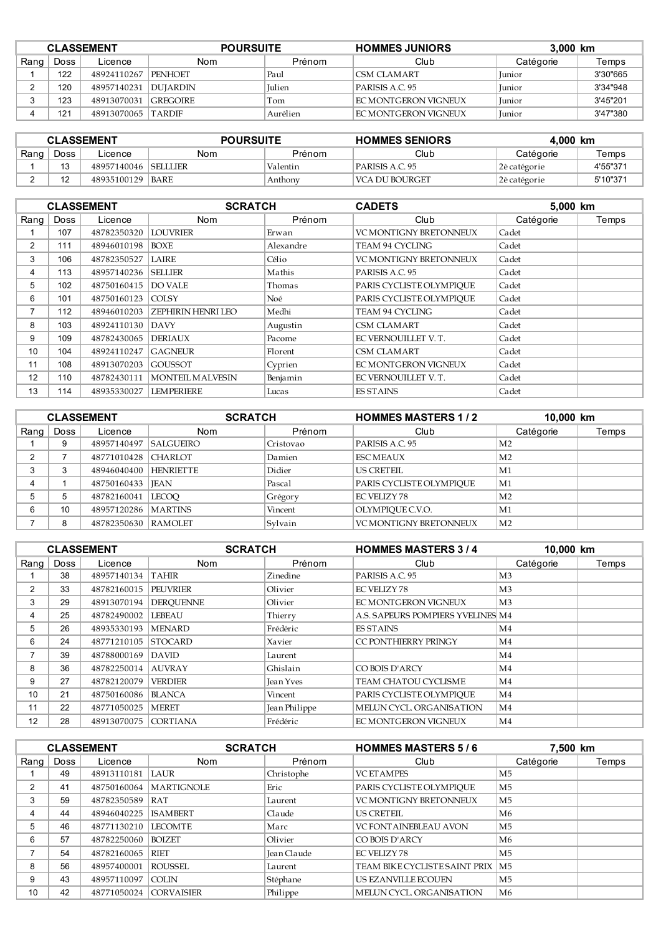| <b>CLASSEMENT</b> |      |                        | <b>POURSUITE</b> |               | <b>HOMMES JUNIORS</b><br>3.000 km |               |          |
|-------------------|------|------------------------|------------------|---------------|-----------------------------------|---------------|----------|
| Rang              | Doss | Licence                | Nom              | Prénom        | Club                              | Catégorie     | Temps    |
|                   | 122  | 48924110267            | <b>PENHOET</b>   | Paul          | CSM CLAMART                       | <b>Iunior</b> | 3'30"665 |
|                   | 120  | 48957140231   DUJARDIN |                  | <b>Iulien</b> | PARISIS A.C. 95                   | <b>Iunior</b> | 3'34"948 |
|                   | 123  | 48913070031 GREGOIRE   |                  | Tom           | I FC MONTGERON VIGNEUX            | <b>Iunior</b> | 3'45"201 |
|                   | 121  | 48913070065 TARDIF     |                  | Aurélien      | <b>IEC MONTGERON VIGNEUX</b>      | <b>Iunior</b> | 3'47"380 |

| <b>CLASSEMENT</b> |      |                      | <b>POURSUITE</b> |          | <b>HOMMES SENIORS</b> | 4.000 km     |          |
|-------------------|------|----------------------|------------------|----------|-----------------------|--------------|----------|
| Rang              | Doss | Licence              | Nom              | Prénom   | Club                  | Catégorie    | Temps    |
|                   |      | 48957140046 SELLLIER |                  | Valentin | PARISIS A.C. 95       | 2è catégorie | 4'55"371 |
|                   |      | 48935100129 BARE     |                  | Anthony  | VCA DU BOURGET        | 2è catégorie | 5'10"371 |

|                |             | <b>CLASSEMENT</b>   | <b>SCRATCH</b>            |           | <b>CADETS</b>                 | 5,000 km  |       |
|----------------|-------------|---------------------|---------------------------|-----------|-------------------------------|-----------|-------|
| Rang           | <b>Doss</b> | Licence             | <b>Nom</b>                | Prénom    | Club                          | Catégorie | Temps |
|                | 107         | 48782350320         | <b>LOUVRIER</b>           | Erwan     | <b>VC MONTIGNY BRETONNEUX</b> | Cadet     |       |
| $\overline{2}$ | 111         | 48946010198 BOXE    |                           | Alexandre | TEAM 94 CYCLING               | Cadet     |       |
| 3              | 106         | 48782350527         | LAIRE                     | Célio     | <b>VC MONTIGNY BRETONNEUX</b> | Cadet     |       |
| 4              | 113         | 48957140236 SELLIER |                           | Mathis    | PARISIS A.C. 95               | Cadet     |       |
| 5              | 102         | 48750160415         | <b>DO VALE</b>            | Thomas    | PARIS CYCLISTE OLYMPIOUE      | Cadet     |       |
| 6              | 101         | 48750160123 COLSY   |                           | Noé       | PARIS CYCLISTE OLYMPIOUE      | Cadet     |       |
| 7              | 112         | 48946010203         | <b>ZEPHIRIN HENRI LEO</b> | Medhi     | TEAM 94 CYCLING               | Cadet     |       |
| 8              | 103         | 48924110130         | <b>DAVY</b>               | Augustin  | CSM CLAMART                   | Cadet     |       |
| 9              | 109         | 48782430065         | <b>DERIAUX</b>            | Pacome    | EC VERNOUILLET V.T.           | Cadet     |       |
| 10             | 104         | 48924110247         | <b>GAGNEUR</b>            | Florent   | CSM CLAMART                   | Cadet     |       |
| 11             | 108         | 48913070203         | <b>GOUSSOT</b>            | Cyprien   | EC MONTGERON VIGNEUX          | Cadet     |       |
| 12             | 110         | 48782430111         | <b>MONTEIL MALVESIN</b>   | Benjamin  | EC VERNOUILLET V.T.           | Cadet     |       |
| 13             | 114         | 48935330027         | <b>LEMPERIERE</b>         | Lucas     | <b>ES STAINS</b>              | Cadet     |       |

| <b>CLASSEMENT</b> |      |                       |                  | <b>HOMMES MASTERS 1/2</b><br><b>SCRATCH</b> |                               | 10,000 km      |       |
|-------------------|------|-----------------------|------------------|---------------------------------------------|-------------------------------|----------------|-------|
| Rang              | Doss | Licence               | <b>Nom</b>       | Prénom                                      | Club                          | Catégorie      | Temps |
|                   | 9    | 48957140497           | <b>SALGUEIRO</b> | Cristovao                                   | PARISIS A.C. 95               | M <sub>2</sub> |       |
| ◠                 |      | 48771010428 CHARLOT   |                  | Damien                                      | <b>ESC MEAUX</b>              | M <sub>2</sub> |       |
| 3                 |      | 48946040400 HENRIETTE |                  | Didier                                      | <b>US CRETEIL</b>             | M1             |       |
| 4                 |      | 48750160433           | <b>IEAN</b>      | Pascal                                      | PARIS CYCLISTE OLYMPIOUE      | M1             |       |
| 5                 | 5    | 48782160041           | LECOO            | Grégory                                     | EC VELIZY 78                  | M <sub>2</sub> |       |
| 6                 | 10   | 48957120286 MARTINS   |                  | Vincent                                     | OLYMPIOUE C.V.O.              | M1             |       |
|                   | 8    | 48782350630 RAMOLET   |                  | Svlvain                                     | <b>VC MONTIGNY BRETONNEUX</b> | M <sub>2</sub> |       |

|                |      | <b>CLASSEMENT</b> | <b>SCRATCH</b>   |                  | <b>HOMMES MASTERS 3/4</b>         | 10,000 km      |       |
|----------------|------|-------------------|------------------|------------------|-----------------------------------|----------------|-------|
| Rang $ $       | Doss | Licence           | <b>Nom</b>       | Prénom           | Club                              | Catégorie      | Temps |
|                | 38   | 48957140134       | <b>TAHIR</b>     | Zinedine         | PARISIS A.C. 95                   | M <sub>3</sub> |       |
| $\overline{2}$ | 33   | 48782160015       | <b>PEUVRIER</b>  | Olivier          | <b>EC VELIZY 78</b>               | M <sub>3</sub> |       |
| 3              | 29   | 48913070194       | <b>DEROUENNE</b> | Olivier          | EC MONTGERON VIGNEUX              | M <sub>3</sub> |       |
| 4              | 25   | 48782490002       | <b>LEBEAU</b>    | Thierry          | A.S. SAPEURS POMPIERS YVELINES M4 |                |       |
| 5              | 26   | 48935330193       | <b>MENARD</b>    | Frédéric         | <b>ES STAINS</b>                  | M4             |       |
| 6              | 24   | 48771210105       | <b>STOCARD</b>   | Xavier           | CC PONTHIERRY PRINGY              | M4             |       |
|                | 39   | 48788000169       | DAVID            | Laurent          |                                   | M4             |       |
| 8              | 36   | 48782250014       | <b>AUVRAY</b>    | Ghislain         | CO BOIS D'ARCY                    | M4             |       |
| 9              | 27   | 48782120079       | <b>VERDIER</b>   | <b>Jean Yves</b> | TEAM CHATOU CYCLISME              | M4             |       |
| 10             | 21   | 48750160086       | <b>BLANCA</b>    | Vincent          | PARIS CYCLISTE OLYMPIOUE          | M4             |       |
| 11             | 22   | 48771050025       | <b>MERET</b>     | Jean Philippe    | MELUN CYCL. ORGANISATION          | M4             |       |
| 12             | 28   | 48913070075       | <b>CORTIANA</b>  | Frédéric         | EC MONTGERON VIGNEUX              | M4             |       |

|      | <b>CLASSEMENT</b> |                        | <b>SCRATCH</b>           |             | <b>HOMMES MASTERS 5/6</b>          | 7,500 km            |       |
|------|-------------------|------------------------|--------------------------|-------------|------------------------------------|---------------------|-------|
| Rang | Doss              | Licence                | <b>Nom</b>               | Prénom      | Club                               | Catégorie           | Temps |
|      | 49                | 48913110181 LAUR       |                          | Christophe  | <b>VC ETAMPES</b>                  | M5                  |       |
| 2    | 41                |                        | 48750160064   MARTIGNOLE | Eric        | PARIS CYCLISTE OLYMPIOUE           | M5                  |       |
| 3    | 59                | 48782350589            | IRAT                     | Laurent     | <b>VC MONTIGNY BRETONNEUX</b>      | M5                  |       |
| 4    | 44                | 48946040225            | <b>ISAMBERT</b>          | Claude      | <b>US CRETEIL</b>                  | M6                  |       |
| 5    | 46                | 48771130210            | <b>ILECOMTE</b>          | Marc        | <b>VC FONT AINEBLEAU AVON</b>      | M <sub>5</sub>      |       |
| 6    | 57                | 48782250060            | <b>BOIZET</b>            | Olivier     | CO BOIS D'ARCY                     | M6                  |       |
|      | 54                | 48782160065            | <b>RIET</b>              | Jean Claude | EC VELIZY 78                       | M5                  |       |
| 8    | 56                | 48957400001            | ROUSSEL                  | Laurent     | TEAM BIKE CYCLISTE SAINT PRIX   M5 |                     |       |
| 9    | 43                | 48957110097            | <b>COLIN</b>             | Stéphane    | US EZANVILLE ECOUEN                | M5                  |       |
| 10   | 42                | 48771050024 CORVAISIER |                          | Philippe    | MELUN CYCL. ORGANISATION           | $\overline{\rm M6}$ |       |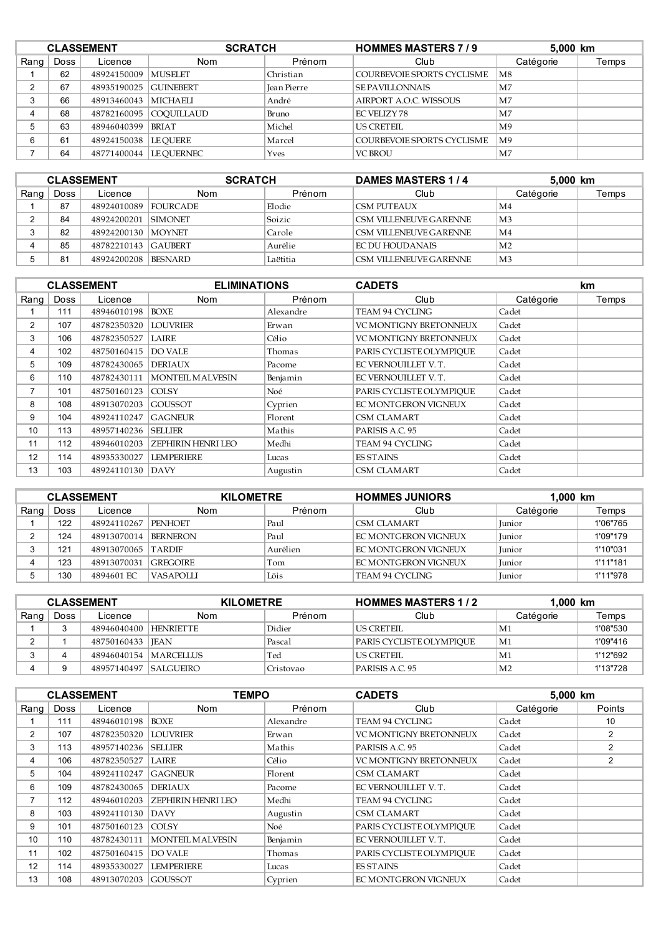|      | <b>CLASSEMENT</b> |             | <b>SCRATCH</b>           |             | <b>HOMMES MASTERS 7/9</b>  |                | 5,000 km |  |
|------|-------------------|-------------|--------------------------|-------------|----------------------------|----------------|----------|--|
| Rang | Doss              | Licence     | <b>Nom</b>               | Prénom      | Club                       | Catégorie      | Temps    |  |
|      | 62                | 48924150009 | <b>MUSELET</b>           | Christian   | COURBEVOIE SPORTS CYCLISME | M8             |          |  |
| ົ    | 67                | 48935190025 | <b>GUINEBERT</b>         | Jean Pierre | <b>SE PAVILLONNAIS</b>     | M <sub>7</sub> |          |  |
| 3    | 66                | 48913460043 | <b>MICHAELI</b>          | André       | AIRPORT A.O.C. WISSOUS     | M7             |          |  |
|      | 68                |             | 48782160095 COOUILLAUD   | Bruno       | EC VELIZY 78               | M7             |          |  |
| 5    | 63                | 48946040399 | <b>BRIAT</b>             | Michel      | <b>US CRETEIL</b>          | M <sub>9</sub> |          |  |
| 6    | 61                | 48924150038 | LE OUERE                 | Marcel      | COURBEVOIE SPORTS CYCLISME | M <sub>9</sub> |          |  |
|      | 64                |             | 48771400044   LE OUERNEC | <b>Yves</b> | <b>VC BROU</b>             | M7             |          |  |

| <b>CLASSEMENT</b> |      |                     | <b>SCRATCH</b>  |          | <b>DAMES MASTERS 1/4</b> | 5,000 km       |       |
|-------------------|------|---------------------|-----------------|----------|--------------------------|----------------|-------|
| Rang              | Doss | Licence             | Nom             | Prénom   | Club                     | Catégorie      | Temps |
|                   | 87   | 48924010089         | <b>FOURCADE</b> | Elodie   | CSM PUTEAUX              | M4             |       |
|                   | 84   | 48924200201 SIMONET |                 | Soizic   | CSM VILLENEUVE GARENNE   | M <sub>3</sub> |       |
|                   | 82   | 48924200130 MOYNET  |                 | Carole   | CSM VILLENEUVE GARENNE   | M <sub>4</sub> |       |
|                   | 85   | 48782210143 GAUBERT |                 | Aurélie  | FC DU HOUDANAIS          | M <sub>2</sub> |       |
|                   | 81   | 48924200208         | <b>BESNARD</b>  | Laëtitia | CSM VILLENEUVE GARENNE   | M <sub>3</sub> |       |

|                |             | <b>CLASSEMENT</b>   | <b>ELIMINATIONS</b>       |           | <b>CADETS</b>                 |           | km    |
|----------------|-------------|---------------------|---------------------------|-----------|-------------------------------|-----------|-------|
| Rang           | <b>Doss</b> | Licence             | <b>Nom</b>                | Prénom    | Club                          | Catégorie | Temps |
|                | 111         | 48946010198         | <b>BOXE</b>               | Alexandre | TEAM 94 CYCLING               | Cadet     |       |
| $\overline{2}$ | 107         | 48782350320         | <b>LOUVRIER</b>           | Erwan     | <b>VC MONTIGNY BRETONNEUX</b> | Cadet     |       |
| 3              | 106         | 48782350527         | LAIRE                     | Célio     | <b>VC MONTIGNY BRETONNEUX</b> | Cadet     |       |
| 4              | 102         | 48750160415         | <b>DO VALE</b>            | Thomas    | PARIS CYCLISTE OLYMPIOUE      | Cadet     |       |
| 5              | 109         | 48782430065         | <b>DERIAUX</b>            | Pacome    | EC VERNOUILLET V.T.           | Cadet     |       |
| 6              | 110         | 48782430111         | <b>MONTEIL MALVESIN</b>   | Benjamin  | EC VERNOUILLET V.T.           | Cadet     |       |
| 7              | 101         | 48750160123         | <b>COLSY</b>              | Noé       | PARIS CYCLISTE OLYMPIOUE      | Cadet     |       |
| 8              | 108         | 48913070203         | <b>GOUSSOT</b>            | Cyprien   | EC MONTGERON VIGNEUX          | Cadet     |       |
| 9              | 104         | 48924110247         | <b>GAGNEUR</b>            | Florent   | CSM CLAMART                   | Cadet     |       |
| 10             | 113         | 48957140236 SELLIER |                           | Mathis    | PARISIS A.C. 95               | Cadet     |       |
| 11             | 112         | 48946010203         | <b>ZEPHIRIN HENRI LEO</b> | Medhi     | TEAM 94 CYCLING               | Cadet     |       |
| 12             | 114         | 48935330027         | <b>LEMPERIERE</b>         | Lucas     | <b>ES STAINS</b>              | Cadet     |       |
| 13             | 103         | 48924110130         | <i>DAVY</i>               | Augustin  | <b>CSM CLAMART</b>            | Cadet     |       |

| <b>CLASSEMENT</b> |      |                    | <b>KILOMETRE</b> |          | $1.000$ km<br><b>HOMMES JUNIORS</b> |               |          |
|-------------------|------|--------------------|------------------|----------|-------------------------------------|---------------|----------|
| Rang              | Doss | Licence            | Nom              | Prénom   | Club                                | Catégorie     | Temps    |
|                   | 122  | 48924110267        | <b>PENHOET</b>   | Paul     | CSM CLAMART                         | <b>Iunior</b> | 1'06"765 |
|                   | 124  | 48913070014        | <b>BERNERON</b>  | Paul     | FC MONTGERON VIGNEUX                | <b>Iunior</b> | 1'09"179 |
|                   | 121  | 48913070065 TARDIF |                  | Aurélien | I FC MONTGERON VIGNEUX              | Junior        | 1'10"031 |
|                   | 123  | 48913070031        | <b>SEREGOIRE</b> | Tom      | FC MONTGERON VIGNEUX                | <b>Iunior</b> | 1'11"181 |
|                   | 130  | 4894601 FC         | VASAPOLLI        | Löis     | TEAM 94 CYCLING                     | <b>Iunior</b> | 1'11"978 |

| <b>CLASSEMENT</b> |      |                         | <b>KILOMETRE</b> |           | <b>HOMMES MASTERS 1/2</b> |                | $1.000$ km |  |
|-------------------|------|-------------------------|------------------|-----------|---------------------------|----------------|------------|--|
| Rang              | Doss | Licence                 | Nom              | Prénom    | Club                      | Catégorie      | Temps      |  |
|                   |      | 48946040400 HENRIETTE   |                  | Didier    | <b>US CRETEIL</b>         | M1             | 1'08"530   |  |
|                   |      | 48750160433   JEAN      |                  | Pascal    | PARIS CYCLISTE OLYMPIOUE  | M1             | 1'09"416   |  |
|                   |      | 48946040154   MARCELLUS |                  | Ted       | US CRETEIL                | M1             | 1'12"692   |  |
|                   |      | 48957140497   SALGUEIRO |                  | Cristovao | PARISIS A.C. 95           | M <sub>2</sub> | 1'13"728   |  |

|                |             | <b>CLASSEMENT</b> | <b>TEMPO</b>              |           | <b>CADETS</b>                 | 5,000 km  |        |
|----------------|-------------|-------------------|---------------------------|-----------|-------------------------------|-----------|--------|
| Rang $ $       | <b>Doss</b> | Licence           | <b>Nom</b>                | Prénom    | Club                          | Catégorie | Points |
|                | 111         | 48946010198       | BOXE                      | Alexandre | TEAM 94 CYCLING               | Cadet     | 10     |
| $\overline{2}$ | 107         | 48782350320       | <b>LOUVRIER</b>           | Erwan     | <b>VC MONTIGNY BRETONNEUX</b> | Cadet     | 2      |
| 3              | 113         | 48957140236       | <b>SELLIER</b>            | Mathis    | PARISIS A.C. 95               | Cadet     | 2      |
| 4              | 106         | 48782350527       | LAIRE                     | Célio     | VC MONTIGNY BRETONNEUX        | Cadet     | 2      |
| 5              | 104         | 48924110247       | <b>GAGNEUR</b>            | Florent   | <b>CSM CLAMART</b>            | Cadet     |        |
| 6              | 109         | 48782430065       | <b>DERIAUX</b>            | Pacome    | EC VERNOUILLET V.T.           | Cadet     |        |
| 7              | 112         | 48946010203       | <b>ZEPHIRIN HENRI LEO</b> | Medhi     | TEAM 94 CYCLING               | Cadet     |        |
| 8              | 103         | 48924110130       | DAVY                      | Augustin  | <b>CSM CLAMART</b>            | Cadet     |        |
| 9              | 101         | 48750160123       | <b>COLSY</b>              | Noé       | PARIS CYCLISTE OLYMPIOUE      | Cadet     |        |
| 10             | 110         | 48782430111       | <b>MONTEIL MALVESIN</b>   | Benjamin  | EC VERNOUILLET V.T.           | Cadet     |        |
| 11             | 102         | 48750160415       | DO VALE                   | Thomas    | PARIS CYCLISTE OLYMPIOUE      | Cadet     |        |
| 12             | 114         | 48935330027       | <b>LEMPERIERE</b>         | Lucas     | <b>ES STAINS</b>              | Cadet     |        |
| 13             | 108         | 48913070203       | <b>GOUSSOT</b>            | Cyprien   | EC MONTGERON VIGNEUX          | Cadet     |        |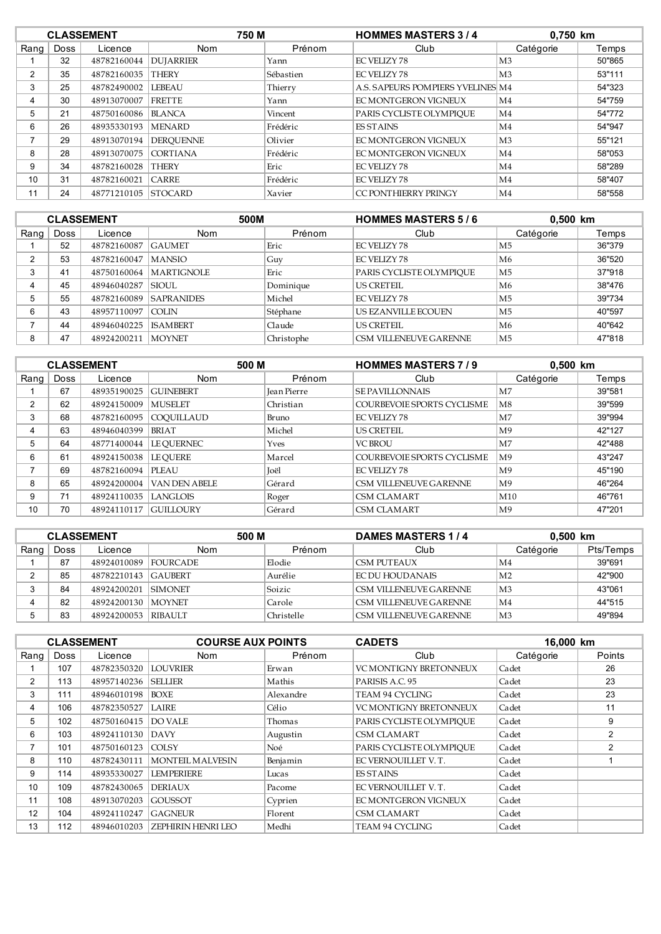|                | <b>CLASSEMENT</b> |                     | 750 M            |           | <b>HOMMES MASTERS 3/4</b>         |                | 0,750 km |  |
|----------------|-------------------|---------------------|------------------|-----------|-----------------------------------|----------------|----------|--|
| Rang           | <b>Doss</b>       | Licence             | <b>Nom</b>       | Prénom    | Club                              | Catégorie      | Temps    |  |
|                | 32                | 48782160044         | <b>DUJARRIER</b> | Yann      | <b>EC VELIZY 78</b>               | M <sub>3</sub> | 50"865   |  |
| $\overline{2}$ | 35                | 48782160035         | <b>THERY</b>     | Sébastien | <b>EC VELIZY 78</b>               | M <sub>3</sub> | 53"111   |  |
| 3              | 25                | 48782490002         | <b>LEBEAU</b>    | Thierry   | A.S. SAPEURS POMPIERS YVELINES M4 |                | 54"323   |  |
| 4              | 30                | 48913070007         | <b>FRETTE</b>    | Yann      | EC MONTGERON VIGNEUX              | M4             | 54"759   |  |
| 5              | 21                | 48750160086         | <b>BLANCA</b>    | Vincent   | PARIS CYCLISTE OLYMPIOUE          | M4             | 54"772   |  |
| 6              | 26                | 48935330193         | <b>MENARD</b>    | Frédéric  | <b>ES STAINS</b>                  | M4             | 54"947   |  |
|                | 29                | 48913070194         | <b>DEROUENNE</b> | Olivier   | EC MONTGERON VIGNEUX              | M <sub>3</sub> | 55"121   |  |
| 8              | 28                | 48913070075         | <b>CORTIANA</b>  | Frédéric  | EC MONTGERON VIGNEUX              | M4             | 58"053   |  |
| 9              | 34                | 48782160028         | <b>THERY</b>     | Eric      | <b>EC VELIZY 78</b>               | M4             | 58"289   |  |
| 10             | 31                | 48782160021         | <b>CARRE</b>     | Frédéric  | <b>EC VELIZY 78</b>               | M4             | 58"407   |  |
| 11             | 24                | 48771210105 STOCARD |                  | Xavier    | CC PONTHIERRY PRINGY              | M <sub>4</sub> | 58"558   |  |

|      | <b>CLASSEMENT</b> |             | 500M              |            | <b>HOMMES MASTERS 5/6</b> | 0,500 km       |        |
|------|-------------------|-------------|-------------------|------------|---------------------------|----------------|--------|
| Rang | Doss              | Licence     | <b>Nom</b>        | Prénom     | Club                      | Catégorie      | Temps  |
|      | 52                | 48782160087 | GAUMET            | Eric       | EC VELIZY 78              | M5             | 36"379 |
| ົ    | 53                | 48782160047 | <b>MANSIO</b>     | Guy        | EC VELIZY 78              | M6             | 36"520 |
| 3    | 41                | 48750160064 | <b>MARTIGNOLE</b> | Eric       | PARIS CYCLISTE OLYMPIOUE  | M <sub>5</sub> | 37"918 |
|      | 45                | 48946040287 | <b>SIOUL</b>      | Dominique  | <b>US CRETEIL</b>         | M6             | 38"476 |
| 5    | 55                | 48782160089 | <b>SAPRANIDES</b> | Michel     | EC VELIZY 78              | M <sub>5</sub> | 39"734 |
| 6    | 43                | 48957110097 | <b>COLIN</b>      | Stéphane   | US EZANVILLE ECOUEN       | M <sub>5</sub> | 40"597 |
|      | 44                | 48946040225 | <b>ISAMBERT</b>   | Claude     | <b>US CRETEIL</b>         | M6             | 40"642 |
| 8    | 47                | 48924200211 | <b>MOYNET</b>     | Christophe | CSM VILLENEUVE GARENNE    | M5             | 47"818 |

|                | <b>CLASSEMENT</b> |             |                   | 500 M<br><b>HOMMES MASTERS 7/9</b> |                            | 0,500 km       |        |
|----------------|-------------------|-------------|-------------------|------------------------------------|----------------------------|----------------|--------|
| Rang           | <b>Doss</b>       | Licence     | <b>Nom</b>        | Prénom                             | Club                       | Catégorie      | Temps  |
|                | 67                | 48935190025 | <b>GUINEBERT</b>  | <b>Jean Pierre</b>                 | <b>SE PAVILLONNAIS</b>     | M <sub>7</sub> | 39"581 |
| 2              | 62                | 48924150009 | <b>MUSELET</b>    | Christian                          | COURBEVOIE SPORTS CYCLISME | M8             | 39"599 |
| 3              | 68                | 48782160095 | <b>COOUILLAUD</b> | Bruno                              | EC VELIZY 78               | M7             | 39"994 |
| 4              | 63                | 48946040399 | <b>BRIAT</b>      | Michel                             | US CRETEIL                 | M <sup>9</sup> | 42"127 |
| 5              | 64                | 48771400044 | <b>LE OUERNEC</b> | <b>Yves</b>                        | <b>VC BROU</b>             | M <sub>7</sub> | 42"488 |
| 6              | 61                | 48924150038 | <b>LE OUERE</b>   | Marcel                             | COURBEVOIE SPORTS CYCLISME | M <sub>9</sub> | 43"247 |
| $\overline{ }$ | 69                | 48782160094 | <b>PLEAU</b>      | Joël                               | EC VELIZY 78               | M <sup>9</sup> | 45"190 |
| 8              | 65                | 48924200004 | VAN DEN ABELE     | Gérard                             | CSM VILLENEUVE GARENNE     | M <sup>9</sup> | 46"264 |
| 9              | 71                | 48924110035 | LANGLOIS          | Roger                              | <b>CSM CLAMART</b>         | M10            | 46"761 |
| 10             | 70                | 48924110117 | GUILLOURY         | Gérard                             | <b>CSM CLAMART</b>         | M <sup>9</sup> | 47"201 |

|      | <b>CLASSEMENT</b> |                     | 500 M           |            | DAMES MASTERS 1/4             | 0,500 km       |           |
|------|-------------------|---------------------|-----------------|------------|-------------------------------|----------------|-----------|
| Rang | Doss              | Licence             | Nom             | Prénom     | Club                          | Catégorie      | Pts/Temps |
|      | 87                | 48924010089         | <b>FOURCADE</b> | Elodie     | <b>CSM PUTEAUX</b>            | M <sub>4</sub> | 39"691    |
|      | 85                | 48782210143 GAUBERT |                 | Aurélie    | EC DU HOUDANAIS               | M <sub>2</sub> | 42"900    |
|      | 84                | 48924200201 SIMONET |                 | Soizic     | <b>CSM VILLENEUVE GARENNE</b> | M <sub>3</sub> | 43"061    |
|      | 82                | 48924200130         | <b>MOYNET</b>   | Carole     | CSM VILLENEUVE GARENNE        | M <sub>4</sub> | 44"515    |
|      | 83                | 48924200053         | RIBALI.T        | Christelle | CSM VILLENEUVE GARENNE        | M <sub>3</sub> | 49"894    |

|                | <b>CLASSEMENT</b> |             | <b>COURSE AUX POINTS</b>  |           | <b>CADETS</b>                 | 16.000 km |                |
|----------------|-------------------|-------------|---------------------------|-----------|-------------------------------|-----------|----------------|
| Rang           | <b>Doss</b>       | Licence     | <b>Nom</b>                | Prénom    | Club                          | Catégorie | Points         |
|                | 107               | 48782350320 | <b>LOUVRIER</b>           | Erwan     | <b>VC MONTIGNY BRETONNEUX</b> | Cadet     | 26             |
| $\overline{2}$ | 113               | 48957140236 | <b>SELLIER</b>            | Mathis    | PARISIS A.C. 95               | Cadet     | 23             |
| 3              | 111               | 48946010198 | BOXE                      | Alexandre | <b>TEAM 94 CYCLING</b>        | Cadet     | 23             |
| 4              | 106               | 48782350527 | LAIRE                     | Célio     | <b>VC MONTIGNY BRETONNEUX</b> | Cadet     | 11             |
| 5              | 102               | 48750160415 | DO VALE                   | Thomas    | PARIS CYCLISTE OLYMPIOUE      | Cadet     | 9              |
| 6              | 103               | 48924110130 | <i>DAVY</i>               | Augustin  | <b>CSM CLAMART</b>            | Cadet     | $\overline{2}$ |
| $\overline{ }$ | 101               | 48750160123 | COISY                     | Noé       | PARIS CYCLISTE OLYMPIOUE      | Cadet     | $\mathcal{P}$  |
| 8              | 110               | 48782430111 | <b>MONTEIL MALVESIN</b>   | Benjamin  | EC VERNOUILLET V.T.           | Cadet     |                |
| 9              | 114               | 48935330027 | <b>LEMPERIERE</b>         | Lucas     | ES STAINS                     | Cadet     |                |
| 10             | 109               | 48782430065 | <b>DERIAUX</b>            | Pacome    | EC VERNOUILLET V.T.           | Cadet     |                |
| 11             | 108               | 48913070203 | GOUSSOT                   | Cyprien   | EC MONTGERON VIGNEUX          | Cadet     |                |
| 12             | 104               | 48924110247 | <b>GAGNEUR</b>            | Florent   | <b>CSM CLAMART</b>            | Cadet     |                |
| 13             | 112               | 48946010203 | <b>ZEPHIRIN HENRI LEO</b> | Medhi     | <b>TEAM 94 CYCLING</b>        | Cadet     |                |